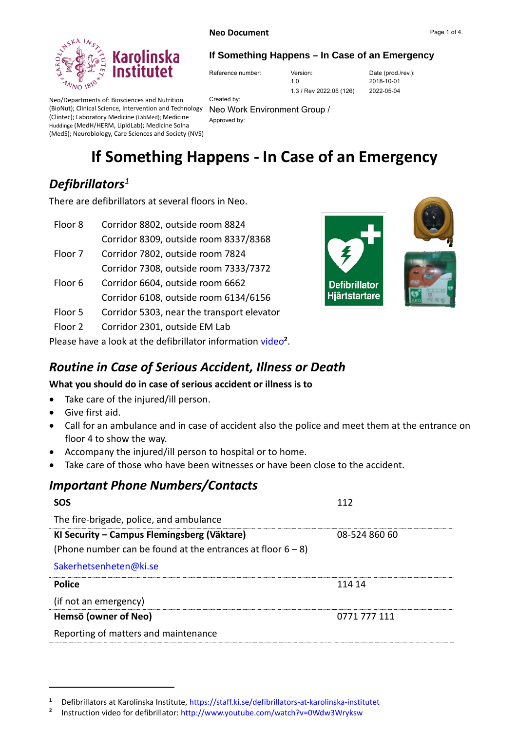

#### **If Something Happens – In Case of an Emergency**

Reference number: Version: Version: Date (prod./rev.):

1.3 / Rev 2022.05 (126)

1.0

2018-10-01 2022-05-04

Neo/Departments of: Biosciences and Nutrition (BioNut); Clinical Science, Intervention and Technology Neo Work Environment Group / (Clintec); Laboratory Medicine (LabMed); Medicine Huddinge (MedH/HERM, LipidLab); Medicine Solna (MedS); Neurobiology, Care Sciences and Society (NVS)

Created by: Approved by:

# **If Something Happens - In Case of an Emergency**

# *Defibrillators<sup>1</sup>*

There are defibrillators at several floors in Neo.

| Floor 8 | Corridor 8802, outside room 8824           |
|---------|--------------------------------------------|
|         | Corridor 8309, outside room 8337/8368      |
| Floor 7 | Corridor 7802, outside room 7824           |
|         | Corridor 7308, outside room 7333/7372      |
| Floor 6 | Corridor 6604, outside room 6662           |
|         | Corridor 6108, outside room 6134/6156      |
| Floor 5 | Corridor 5303, near the transport elevator |

Floor 2 Corridor 2301, outside EM Lab

Please have a look at the defibrillator information [video](http://www.youtube.com/watch?v=0Wdw3Wryksw)<sup>2</sup>.



### *Routine in Case of Serious Accident, Illness or Death*

#### **What you should do in case of serious accident or illness is to**

- Take care of the injured/ill person.
- Give first aid.
- Call for an ambulance and in case of accident also the police and meet them at the entrance on floor 4 to show the way.
- Accompany the injured/ill person to hospital or to home.
- Take care of those who have been witnesses or have been close to the accident.

### *Important Phone Numbers/Contacts*

| <b>SOS</b>                                                     | 112           |  |
|----------------------------------------------------------------|---------------|--|
| The fire-brigade, police, and ambulance                        |               |  |
| KI Security – Campus Flemingsberg (Väktare)                    | 08-524 860 60 |  |
| (Phone number can be found at the entrances at floor $6 - 8$ ) |               |  |
| Sakerhetsenheten@ki.se                                         |               |  |
| <b>Police</b>                                                  | 114 14        |  |
| (if not an emergency)                                          |               |  |
| Hemsö (owner of Neo)                                           | 0771 777 111  |  |
| Reporting of matters and maintenance                           |               |  |

**<sup>1</sup>** Defibrillators at Karolinska Institute, <https://staff.ki.se/defibrillators-at-karolinska-institutet>

**<sup>2</sup>** Instruction video for defibrillator:<http://www.youtube.com/watch?v=0Wdw3Wryksw>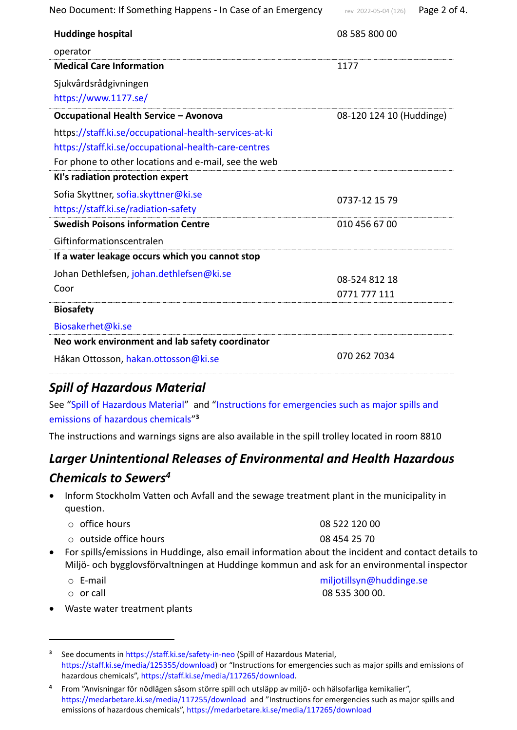| Neo Document: If Something Happens - In Case of an Emergency | rev 2022-05-04 (126)     | Page 2 of 4. |
|--------------------------------------------------------------|--------------------------|--------------|
| <b>Huddinge hospital</b>                                     | 08 585 800 00            |              |
| operator                                                     |                          |              |
| <b>Medical Care Information</b>                              | 1177                     |              |
| Sjukvårdsrådgivningen                                        |                          |              |
| https://www.1177.se/                                         |                          |              |
| <b>Occupational Health Service - Avonova</b>                 | 08-120 124 10 (Huddinge) |              |
| https://staff.ki.se/occupational-health-services-at-ki       |                          |              |
| https://staff.ki.se/occupational-health-care-centres         |                          |              |
| For phone to other locations and e-mail, see the web         |                          |              |
| KI's radiation protection expert                             |                          |              |
| Sofia Skyttner, sofia.skyttner@ki.se                         | 0737-12 15 79            |              |
| https://staff.ki.se/radiation-safety                         |                          |              |
| <b>Swedish Poisons information Centre</b>                    | 010 456 67 00            |              |
| Giftinformationscentralen                                    |                          |              |
| If a water leakage occurs which you cannot stop              |                          |              |
| Johan Dethlefsen, johan.dethlefsen@ki.se                     | 08-524 812 18            |              |
| Coor                                                         | 0771 777 111             |              |
| <b>Biosafety</b>                                             |                          |              |
| Biosakerhet@ki.se                                            |                          |              |
| Neo work environment and lab safety coordinator              |                          |              |
| Håkan Ottosson, hakan.ottosson@ki.se                         | 070 262 7034             |              |

# *Spill of Hazardous Material*

See ["Spill of Hazardous Material"](https://staff.ki.se/media/125355/download) and ["Instructions for emergencies such as major spills and](https://staff.ki.se/media/117265/download)  [emissions of hazardous chemicals"](https://staff.ki.se/media/117265/download) **3**

The instructions and warnings signs are also available in the spill trolley located in room 8810

# *Larger Unintentional Releases of Environmental and Health Hazardous Chemicals to Sewers<sup>4</sup>*

• Inform Stockholm Vatten och Avfall and the sewage treatment plant in the municipality in question.

| $\circ$ office hours         | 08 522 120 00 |
|------------------------------|---------------|
| $\circ$ outside office hours | 08 454 25 70  |

- For spills/emissions in Huddinge, also email information about the incident and contact details to Miljö- och bygglovsförvaltningen at Huddinge kommun and ask for an environmental inspector
	- o E-mail [miljotillsyn@huddinge.se](mailto:miljotillsyn@huddinge.se)

 $\circ$  or call  $\circ$  08 535 300 00.

• Waste water treatment plants

<sup>&</sup>lt;sup>3</sup> See documents in<https://staff.ki.se/safety-in-neo> (Spill of Hazardous Material, [https://staff.ki.se/media/125355/download\)](https://staff.ki.se/media/125355/download) or "Instructions for emergencies such as major spills and emissions of hazardous chemicals", [https://staff.ki.se/media/117265/download.](https://staff.ki.se/media/117265/download)

**<sup>4</sup>** From "Anvisningar för nödlägen såsom större spill och utsläpp av miljö- och hälsofarliga kemikalier", <https://medarbetare.ki.se/media/117255/download>and "Instructions for emergencies such as major spills and emissions of hazardous chemicals",<https://medarbetare.ki.se/media/117265/download>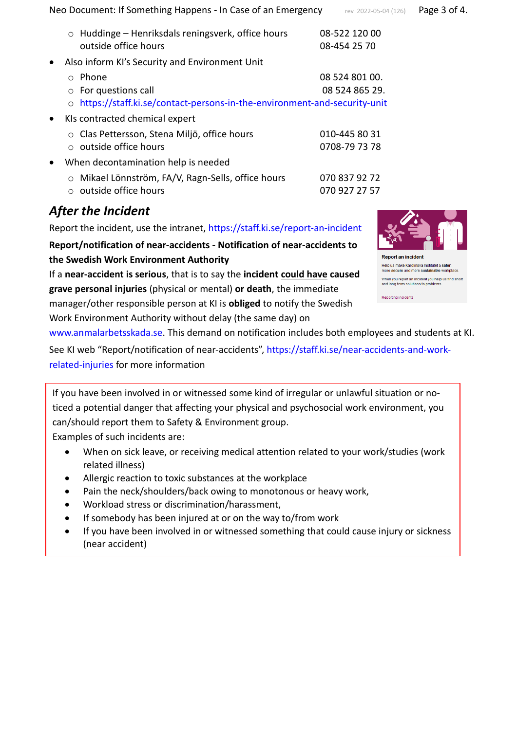Neo Document: If Something Happens - In Case of an Emergency Frev 2022-05-04 (126) Page 3 of 4.

|  |  | rev 2022-05-04 (126) | Page 3 c |
|--|--|----------------------|----------|
|--|--|----------------------|----------|

|           | o Huddinge - Henriksdals reningsverk, office hours<br>outside office hours                                                   | 08-522 120 00<br>08-454 25 70    |
|-----------|------------------------------------------------------------------------------------------------------------------------------|----------------------------------|
| $\bullet$ | Also inform KI's Security and Environment Unit                                                                               |                                  |
|           | Phone<br>$\circ$<br>$\circ$ For questions call<br>o https://staff.ki.se/contact-persons-in-the-environment-and-security-unit | 08 524 801 00.<br>08 524 865 29. |
| $\bullet$ | KIs contracted chemical expert                                                                                               |                                  |
|           | Clas Pettersson, Stena Miljö, office hours<br>$\circ$<br>$\circ$ outside office hours                                        | 010-445 80 31<br>0708-79 73 78   |
| $\bullet$ | When decontamination help is needed                                                                                          |                                  |
|           | Mikael Lönnström, FA/V, Ragn-Sells, office hours<br>$\circ$<br>outside office hours<br>$\bigcirc$                            | 070 837 92 72<br>070 927 27 57   |

# *After the Incident*

Report the incident, use the intranet,<https://staff.ki.se/report-an-incident>

**Report/notification of near-accidents - Notification of near-accidents to the Swedish Work Environment Authority**

If a **near-accident is serious**, that is to say the **incident could have caused grave personal injuries** (physical or mental) **or death**, the immediate manager/other responsible person at KI is **obliged** to notify the Swedish Work Environment Authority without delay (the same day) on



Help us make Karolinska Institutet a safer,<br>more secure and more sustainable workplace When you report an incident you help us find short and long-term solutions to problems

Reporting incidents

[www.anmalarbetsskada.se.](http://www.anmalarbetsskada.se/) This demand on notification includes both employees and students at KI.

See KI web "Report/notification of near-accidents", [https://staff.ki.se/near-accidents-and-work](https://staff.ki.se/near-accidents-and-work-related-injuries#heading-2)[related-injuries](https://staff.ki.se/near-accidents-and-work-related-injuries#heading-2) for more information

If you have been involved in or witnessed some kind of irregular or unlawful situation or noticed a potential danger that affecting your physical and psychosocial work environment, you can/should report them to Safety & Environment group.

Examples of such incidents are:

- When on sick leave, or receiving medical attention related to your work/studies (work related illness)
- Allergic reaction to toxic substances at the workplace
- Pain the neck/shoulders/back owing to monotonous or heavy work,
- Workload stress or discrimination/harassment,
- If somebody has been injured at or on the way to/from work
- If you have been involved in or witnessed something that could cause injury or sickness (near accident)